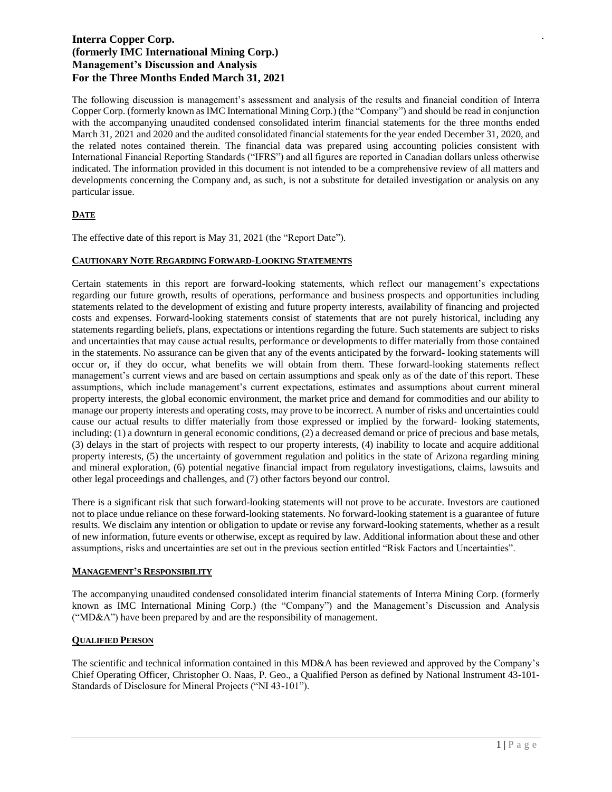The following discussion is management's assessment and analysis of the results and financial condition of Interra Copper Corp. (formerly known as IMC International Mining Corp.) (the "Company") and should be read in conjunction with the accompanying unaudited condensed consolidated interim financial statements for the three months ended March 31, 2021 and 2020 and the audited consolidated financial statements for the year ended December 31, 2020, and the related notes contained therein. The financial data was prepared using accounting policies consistent with International Financial Reporting Standards ("IFRS") and all figures are reported in Canadian dollars unless otherwise indicated. The information provided in this document is not intended to be a comprehensive review of all matters and developments concerning the Company and, as such, is not a substitute for detailed investigation or analysis on any particular issue.

## **DATE**

The effective date of this report is May 31, 2021 (the "Report Date").

### **CAUTIONARY NOTE REGARDING FORWARD-LOOKING STATEMENTS**

Certain statements in this report are forward-looking statements, which reflect our management's expectations regarding our future growth, results of operations, performance and business prospects and opportunities including statements related to the development of existing and future property interests, availability of financing and projected costs and expenses. Forward-looking statements consist of statements that are not purely historical, including any statements regarding beliefs, plans, expectations or intentions regarding the future. Such statements are subject to risks and uncertainties that may cause actual results, performance or developments to differ materially from those contained in the statements. No assurance can be given that any of the events anticipated by the forward- looking statements will occur or, if they do occur, what benefits we will obtain from them. These forward-looking statements reflect management's current views and are based on certain assumptions and speak only as of the date of this report. These assumptions, which include management's current expectations, estimates and assumptions about current mineral property interests, the global economic environment, the market price and demand for commodities and our ability to manage our property interests and operating costs, may prove to be incorrect. A number of risks and uncertainties could cause our actual results to differ materially from those expressed or implied by the forward- looking statements, including: (1) a downturn in general economic conditions, (2) a decreased demand or price of precious and base metals, (3) delays in the start of projects with respect to our property interests, (4) inability to locate and acquire additional property interests, (5) the uncertainty of government regulation and politics in the state of Arizona regarding mining and mineral exploration, (6) potential negative financial impact from regulatory investigations, claims, lawsuits and other legal proceedings and challenges, and (7) other factors beyond our control.

There is a significant risk that such forward-looking statements will not prove to be accurate. Investors are cautioned not to place undue reliance on these forward-looking statements. No forward-looking statement is a guarantee of future results. We disclaim any intention or obligation to update or revise any forward-looking statements, whether as a result of new information, future events or otherwise, except as required by law. Additional information about these and other assumptions, risks and uncertainties are set out in the previous section entitled "Risk Factors and Uncertainties".

### **MANAGEMENT'S RESPONSIBILITY**

The accompanying unaudited condensed consolidated interim financial statements of Interra Mining Corp. (formerly known as IMC International Mining Corp.) (the "Company") and the Management's Discussion and Analysis ("MD&A") have been prepared by and are the responsibility of management.

## **QUALIFIED PERSON**

The scientific and technical information contained in this MD&A has been reviewed and approved by the Company's Chief Operating Officer, Christopher O. Naas, P. Geo., a Qualified Person as defined by National Instrument 43-101- Standards of Disclosure for Mineral Projects ("NI 43-101").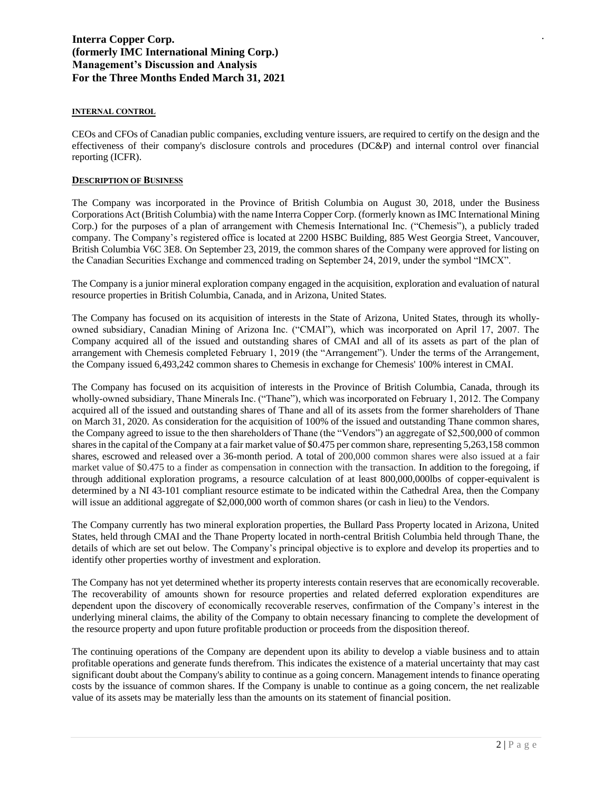#### **INTERNAL CONTROL**

CEOs and CFOs of Canadian public companies, excluding venture issuers, are required to certify on the design and the effectiveness of their company's disclosure controls and procedures (DC&P) and internal control over financial reporting (ICFR).

### **DESCRIPTION OF BUSINESS**

The Company was incorporated in the Province of British Columbia on August 30, 2018, under the Business Corporations Act (British Columbia) with the name Interra Copper Corp. (formerly known asIMC International Mining Corp.) for the purposes of a plan of arrangement with Chemesis International Inc. ("Chemesis"), a publicly traded company. The Company's registered office is located at 2200 HSBC Building, 885 West Georgia Street, Vancouver, British Columbia V6C 3E8. On September 23, 2019, the common shares of the Company were approved for listing on the Canadian Securities Exchange and commenced trading on September 24, 2019, under the symbol "IMCX".

The Company is a junior mineral exploration company engaged in the acquisition, exploration and evaluation of natural resource properties in British Columbia, Canada, and in Arizona, United States.

The Company has focused on its acquisition of interests in the State of Arizona, United States, through its whollyowned subsidiary, Canadian Mining of Arizona Inc. ("CMAI"), which was incorporated on April 17, 2007. The Company acquired all of the issued and outstanding shares of CMAI and all of its assets as part of the plan of arrangement with Chemesis completed February 1, 2019 (the "Arrangement"). Under the terms of the Arrangement, the Company issued 6,493,242 common shares to Chemesis in exchange for Chemesis' 100% interest in CMAI.

The Company has focused on its acquisition of interests in the Province of British Columbia, Canada, through its wholly-owned subsidiary, Thane Minerals Inc. ("Thane"), which was incorporated on February 1, 2012. The Company acquired all of the issued and outstanding shares of Thane and all of its assets from the former shareholders of Thane on March 31, 2020. As consideration for the acquisition of 100% of the issued and outstanding Thane common shares, the Company agreed to issue to the then shareholders of Thane (the "Vendors") an aggregate of \$2,500,000 of common shares in the capital of the Company at a fair market value of \$0.475 per common share, representing 5,263,158 common shares, escrowed and released over a 36-month period. A total of 200,000 common shares were also issued at a fair market value of \$0.475 to a finder as compensation in connection with the transaction. In addition to the foregoing, if through additional exploration programs, a resource calculation of at least 800,000,000lbs of copper-equivalent is determined by a NI 43-101 compliant resource estimate to be indicated within the Cathedral Area, then the Company will issue an additional aggregate of \$2,000,000 worth of common shares (or cash in lieu) to the Vendors.

The Company currently has two mineral exploration properties, the Bullard Pass Property located in Arizona, United States, held through CMAI and the Thane Property located in north-central British Columbia held through Thane, the details of which are set out below. The Company's principal objective is to explore and develop its properties and to identify other properties worthy of investment and exploration.

The Company has not yet determined whether its property interests contain reserves that are economically recoverable. The recoverability of amounts shown for resource properties and related deferred exploration expenditures are dependent upon the discovery of economically recoverable reserves, confirmation of the Company's interest in the underlying mineral claims, the ability of the Company to obtain necessary financing to complete the development of the resource property and upon future profitable production or proceeds from the disposition thereof.

The continuing operations of the Company are dependent upon its ability to develop a viable business and to attain profitable operations and generate funds therefrom. This indicates the existence of a material uncertainty that may cast significant doubt about the Company's ability to continue as a going concern. Management intends to finance operating costs by the issuance of common shares. If the Company is unable to continue as a going concern, the net realizable value of its assets may be materially less than the amounts on its statement of financial position.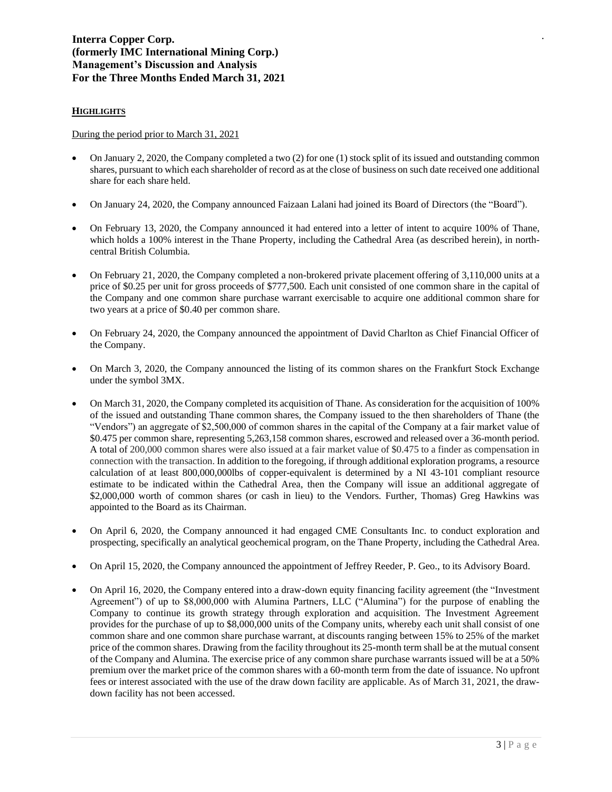### **HIGHLIGHTS**

During the period prior to March 31, 2021

- On January 2, 2020, the Company completed a two (2) for one (1) stock split of its issued and outstanding common shares, pursuant to which each shareholder of record as at the close of business on such date received one additional share for each share held.
- On January 24, 2020, the Company announced Faizaan Lalani had joined its Board of Directors (the "Board").
- On February 13, 2020, the Company announced it had entered into a letter of intent to acquire 100% of Thane, which holds a 100% interest in the Thane Property, including the Cathedral Area (as described herein), in northcentral British Columbia.
- On February 21, 2020, the Company completed a non-brokered private placement offering of 3,110,000 units at a price of \$0.25 per unit for gross proceeds of \$777,500. Each unit consisted of one common share in the capital of the Company and one common share purchase warrant exercisable to acquire one additional common share for two years at a price of \$0.40 per common share.
- On February 24, 2020, the Company announced the appointment of David Charlton as Chief Financial Officer of the Company.
- On March 3, 2020, the Company announced the listing of its common shares on the Frankfurt Stock Exchange under the symbol 3MX.
- On March 31, 2020, the Company completed its acquisition of Thane. As consideration for the acquisition of 100% of the issued and outstanding Thane common shares, the Company issued to the then shareholders of Thane (the "Vendors") an aggregate of \$2,500,000 of common shares in the capital of the Company at a fair market value of \$0.475 per common share, representing 5,263,158 common shares, escrowed and released over a 36-month period. A total of 200,000 common shares were also issued at a fair market value of \$0.475 to a finder as compensation in connection with the transaction. In addition to the foregoing, if through additional exploration programs, a resource calculation of at least 800,000,000lbs of copper-equivalent is determined by a NI 43-101 compliant resource estimate to be indicated within the Cathedral Area, then the Company will issue an additional aggregate of \$2,000,000 worth of common shares (or cash in lieu) to the Vendors. Further, Thomas) Greg Hawkins was appointed to the Board as its Chairman.
- On April 6, 2020, the Company announced it had engaged CME Consultants Inc. to conduct exploration and prospecting, specifically an analytical geochemical program, on the Thane Property, including the Cathedral Area.
- On April 15, 2020, the Company announced the appointment of Jeffrey Reeder, P. Geo., to its Advisory Board.
- On April 16, 2020, the Company entered into a draw-down equity financing facility agreement (the "Investment Agreement") of up to \$8,000,000 with Alumina Partners, LLC ("Alumina") for the purpose of enabling the Company to continue its growth strategy through exploration and acquisition. The Investment Agreement provides for the purchase of up to \$8,000,000 units of the Company units, whereby each unit shall consist of one common share and one common share purchase warrant, at discounts ranging between 15% to 25% of the market price of the common shares. Drawing from the facility throughout its 25-month term shall be at the mutual consent of the Company and Alumina. The exercise price of any common share purchase warrants issued will be at a 50% premium over the market price of the common shares with a 60-month term from the date of issuance. No upfront fees or interest associated with the use of the draw down facility are applicable. As of March 31, 2021, the drawdown facility has not been accessed.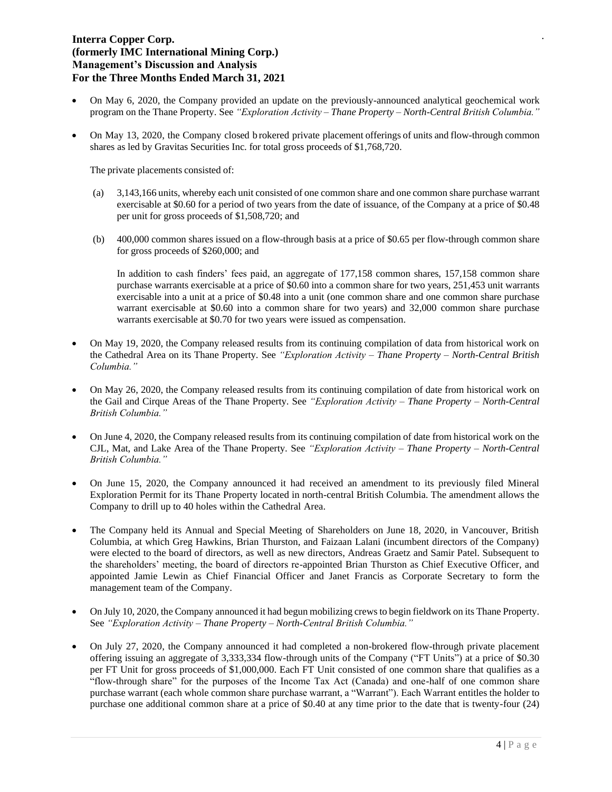- On May 6, 2020, the Company provided an update on the previously-announced analytical geochemical work program on the Thane Property. See *"Exploration Activity – Thane Property – North-Central British Columbia."*
- On May 13, 2020, the Company closed b rokered private placement offerings of units and flow-through common shares as led by Gravitas Securities Inc. for total gross proceeds of \$1,768,720.

The private placements consisted of:

- (a) 3,143,166 units, whereby each unit consisted of one common share and one common share purchase warrant exercisable at \$0.60 for a period of two years from the date of issuance, of the Company at a price of \$0.48 per unit for gross proceeds of \$1,508,720; and
- (b) 400,000 common shares issued on a flow-through basis at a price of \$0.65 per flow-through common share for gross proceeds of \$260,000; and

In addition to cash finders' fees paid, an aggregate of 177,158 common shares, 157,158 common share purchase warrants exercisable at a price of \$0.60 into a common share for two years, 251,453 unit warrants exercisable into a unit at a price of \$0.48 into a unit (one common share and one common share purchase warrant exercisable at \$0.60 into a common share for two years) and 32,000 common share purchase warrants exercisable at \$0.70 for two years were issued as compensation.

- On May 19, 2020, the Company released results from its continuing compilation of data from historical work on the Cathedral Area on its Thane Property. See *"Exploration Activity – Thane Property – North-Central British Columbia."*
- On May 26, 2020, the Company released results from its continuing compilation of date from historical work on the Gail and Cirque Areas of the Thane Property. See *"Exploration Activity – Thane Property – North-Central British Columbia."*
- On June 4, 2020, the Company released results from its continuing compilation of date from historical work on the CJL, Mat, and Lake Area of the Thane Property. See *"Exploration Activity – Thane Property – North-Central British Columbia."*
- On June 15, 2020, the Company announced it had received an amendment to its previously filed Mineral Exploration Permit for its Thane Property located in north-central British Columbia. The amendment allows the Company to drill up to 40 holes within the Cathedral Area.
- The Company held its Annual and Special Meeting of Shareholders on June 18, 2020, in Vancouver, British Columbia, at which Greg Hawkins, Brian Thurston, and Faizaan Lalani (incumbent directors of the Company) were elected to the board of directors, as well as new directors, Andreas Graetz and Samir Patel. Subsequent to the shareholders' meeting, the board of directors re-appointed Brian Thurston as Chief Executive Officer, and appointed Jamie Lewin as Chief Financial Officer and Janet Francis as Corporate Secretary to form the management team of the Company.
- On July 10, 2020, the Company announced it had begun mobilizing crews to begin fieldwork on its Thane Property. See *"Exploration Activity – Thane Property – North-Central British Columbia."*
- On July 27, 2020, the Company announced it had completed a non-brokered flow-through private placement offering issuing an aggregate of 3,333,334 flow-through units of the Company ("FT Units") at a price of \$0.30 per FT Unit for gross proceeds of \$1,000,000. Each FT Unit consisted of one common share that qualifies as a "flow-through share" for the purposes of the Income Tax Act (Canada) and one-half of one common share purchase warrant (each whole common share purchase warrant, a "Warrant"). Each Warrant entitles the holder to purchase one additional common share at a price of \$0.40 at any time prior to the date that is twenty-four (24)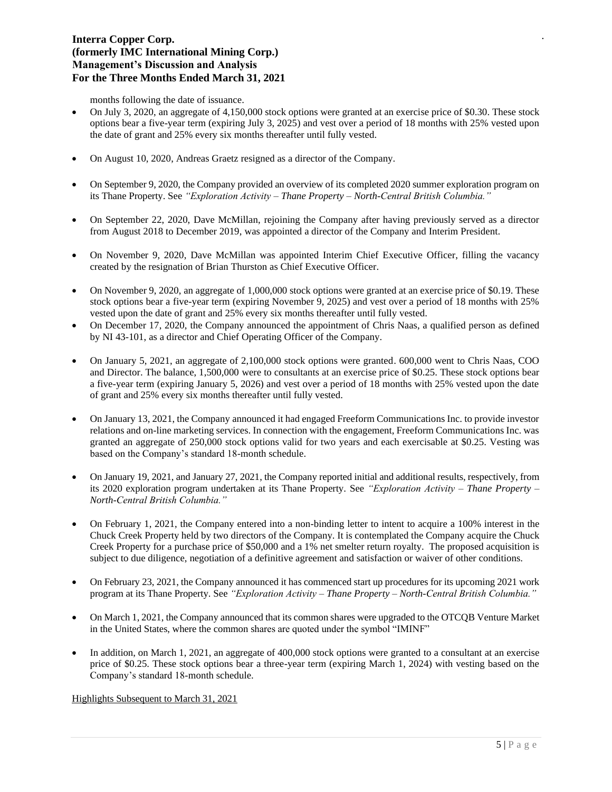months following the date of issuance.

- On July 3, 2020, an aggregate of 4,150,000 stock options were granted at an exercise price of \$0.30. These stock options bear a five-year term (expiring July 3, 2025) and vest over a period of 18 months with 25% vested upon the date of grant and 25% every six months thereafter until fully vested.
- On August 10, 2020, Andreas Graetz resigned as a director of the Company.
- On September 9, 2020, the Company provided an overview of its completed 2020 summer exploration program on its Thane Property. See *"Exploration Activity – Thane Property – North-Central British Columbia."*
- On September 22, 2020, Dave McMillan, rejoining the Company after having previously served as a director from August 2018 to December 2019, was appointed a director of the Company and Interim President.
- On November 9, 2020, Dave McMillan was appointed Interim Chief Executive Officer, filling the vacancy created by the resignation of Brian Thurston as Chief Executive Officer.
- On November 9, 2020, an aggregate of 1,000,000 stock options were granted at an exercise price of \$0.19. These stock options bear a five-year term (expiring November 9, 2025) and vest over a period of 18 months with 25% vested upon the date of grant and 25% every six months thereafter until fully vested.
- On December 17, 2020, the Company announced the appointment of Chris Naas, a qualified person as defined by NI 43-101, as a director and Chief Operating Officer of the Company.
- On January 5, 2021, an aggregate of 2,100,000 stock options were granted. 600,000 went to Chris Naas, COO and Director. The balance, 1,500,000 were to consultants at an exercise price of \$0.25. These stock options bear a five-year term (expiring January 5, 2026) and vest over a period of 18 months with 25% vested upon the date of grant and 25% every six months thereafter until fully vested.
- On January 13, 2021, the Company announced it had engaged Freeform Communications Inc. to provide investor relations and on-line marketing services. In connection with the engagement, Freeform Communications Inc. was granted an aggregate of 250,000 stock options valid for two years and each exercisable at \$0.25. Vesting was based on the Company's standard 18-month schedule.
- On January 19, 2021, and January 27, 2021, the Company reported initial and additional results, respectively, from its 2020 exploration program undertaken at its Thane Property. See *"Exploration Activity – Thane Property – North-Central British Columbia."*
- On February 1, 2021, the Company entered into a non-binding letter to intent to acquire a 100% interest in the Chuck Creek Property held by two directors of the Company. It is contemplated the Company acquire the Chuck Creek Property for a purchase price of \$50,000 and a 1% net smelter return royalty. The proposed acquisition is subject to due diligence, negotiation of a definitive agreement and satisfaction or waiver of other conditions.
- On February 23, 2021, the Company announced it has commenced start up procedures for its upcoming 2021 work program at its Thane Property. See *"Exploration Activity – Thane Property – North-Central British Columbia."*
- On March 1, 2021, the Company announced that its common shares were upgraded to the OTCQB Venture Market in the United States, where the common shares are quoted under the symbol "IMINF"
- In addition, on March 1, 2021, an aggregate of 400,000 stock options were granted to a consultant at an exercise price of \$0.25. These stock options bear a three-year term (expiring March 1, 2024) with vesting based on the Company's standard 18-month schedule.

Highlights Subsequent to March 31, 2021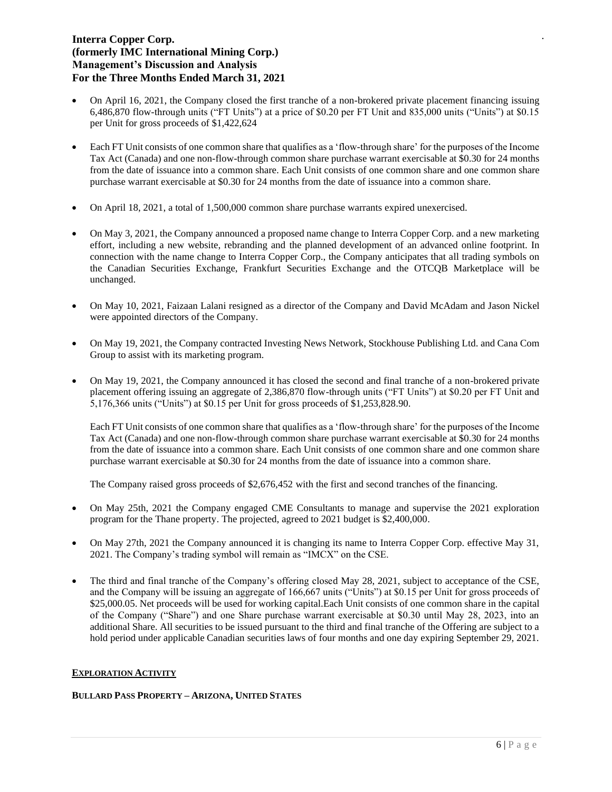- On April 16, 2021, the Company closed the first tranche of a non-brokered private placement financing issuing 6,486,870 flow-through units ("FT Units") at a price of \$0.20 per FT Unit and 835,000 units ("Units") at \$0.15 per Unit for gross proceeds of \$1,422,624
- Each FT Unit consists of one common share that qualifies as a 'flow-through share' for the purposes of the Income Tax Act (Canada) and one non-flow-through common share purchase warrant exercisable at \$0.30 for 24 months from the date of issuance into a common share. Each Unit consists of one common share and one common share purchase warrant exercisable at \$0.30 for 24 months from the date of issuance into a common share.
- On April 18, 2021, a total of 1,500,000 common share purchase warrants expired unexercised.
- On May 3, 2021, the Company announced a proposed name change to Interra Copper Corp. and a new marketing effort, including a new website, rebranding and the planned development of an advanced online footprint. In connection with the name change to Interra Copper Corp., the Company anticipates that all trading symbols on the Canadian Securities Exchange, Frankfurt Securities Exchange and the OTCQB Marketplace will be unchanged.
- On May 10, 2021, Faizaan Lalani resigned as a director of the Company and David McAdam and Jason Nickel were appointed directors of the Company.
- On May 19, 2021, the Company contracted Investing News Network, Stockhouse Publishing Ltd. and Cana Com Group to assist with its marketing program.
- On May 19, 2021, the Company announced it has closed the second and final tranche of a non-brokered private placement offering issuing an aggregate of 2,386,870 flow-through units ("FT Units") at \$0.20 per FT Unit and 5,176,366 units ("Units") at \$0.15 per Unit for gross proceeds of \$1,253,828.90.

Each FT Unit consists of one common share that qualifies as a 'flow-through share' for the purposes of the Income Tax Act (Canada) and one non-flow-through common share purchase warrant exercisable at \$0.30 for 24 months from the date of issuance into a common share. Each Unit consists of one common share and one common share purchase warrant exercisable at \$0.30 for 24 months from the date of issuance into a common share.

The Company raised gross proceeds of \$2,676,452 with the first and second tranches of the financing.

- On May 25th, 2021 the Company engaged CME Consultants to manage and supervise the 2021 exploration program for the Thane property. The projected, agreed to 2021 budget is \$2,400,000.
- On May 27th, 2021 the Company announced it is changing its name to Interra Copper Corp. effective May 31, 2021. The Company's trading symbol will remain as "IMCX" on the CSE.
- The third and final tranche of the Company's offering closed May 28, 2021, subject to acceptance of the CSE, and the Company will be issuing an aggregate of 166,667 units ("Units") at \$0.15 per Unit for gross proceeds of \$25,000.05. Net proceeds will be used for working capital.Each Unit consists of one common share in the capital of the Company ("Share") and one Share purchase warrant exercisable at \$0.30 until May 28, 2023, into an additional Share. All securities to be issued pursuant to the third and final tranche of the Offering are subject to a hold period under applicable Canadian securities laws of four months and one day expiring September 29, 2021.

#### **EXPLORATION ACTIVITY**

## **BULLARD PASS PROPERTY – ARIZONA, UNITED STATES**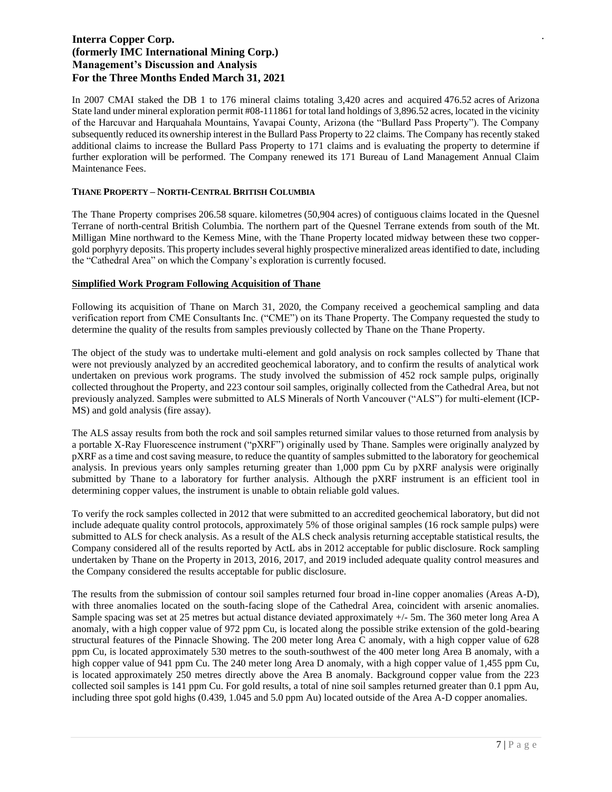In 2007 CMAI staked the DB 1 to 176 mineral claims totaling 3,420 acres and acquired 476.52 acres of Arizona State land under mineral exploration permit #08-111861 for total land holdings of 3,896.52 acres, located in the vicinity of the Harcuvar and Harquahala Mountains, Yavapai County, Arizona (the "Bullard Pass Property"). The Company subsequently reduced its ownership interest in the Bullard Pass Property to 22 claims. The Company hasrecently staked additional claims to increase the Bullard Pass Property to 171 claims and is evaluating the property to determine if further exploration will be performed. The Company renewed its 171 Bureau of Land Management Annual Claim Maintenance Fees.

## **THANE PROPERTY – NORTH-CENTRAL BRITISH COLUMBIA**

The Thane Property comprises 206.58 square. kilometres (50,904 acres) of contiguous claims located in the Quesnel Terrane of north-central British Columbia. The northern part of the Quesnel Terrane extends from south of the Mt. Milligan Mine northward to the Kemess Mine, with the Thane Property located midway between these two coppergold porphyry deposits. This property includes several highly prospective mineralized areas identified to date, including the "Cathedral Area" on which the Company's exploration is currently focused.

### **Simplified Work Program Following Acquisition of Thane**

Following its acquisition of Thane on March 31, 2020, the Company received a geochemical sampling and data verification report from CME Consultants Inc. ("CME") on its Thane Property. The Company requested the study to determine the quality of the results from samples previously collected by Thane on the Thane Property.

The object of the study was to undertake multi-element and gold analysis on rock samples collected by Thane that were not previously analyzed by an accredited geochemical laboratory, and to confirm the results of analytical work undertaken on previous work programs. The study involved the submission of 452 rock sample pulps, originally collected throughout the Property, and 223 contour soil samples, originally collected from the Cathedral Area, but not previously analyzed. Samples were submitted to ALS Minerals of North Vancouver ("ALS") for multi-element (ICP-MS) and gold analysis (fire assay).

The ALS assay results from both the rock and soil samples returned similar values to those returned from analysis by a portable X-Ray Fluorescence instrument ("pXRF") originally used by Thane. Samples were originally analyzed by pXRF as a time and cost saving measure, to reduce the quantity of samples submitted to the laboratory for geochemical analysis. In previous years only samples returning greater than 1,000 ppm Cu by pXRF analysis were originally submitted by Thane to a laboratory for further analysis. Although the pXRF instrument is an efficient tool in determining copper values, the instrument is unable to obtain reliable gold values.

To verify the rock samples collected in 2012 that were submitted to an accredited geochemical laboratory, but did not include adequate quality control protocols, approximately 5% of those original samples (16 rock sample pulps) were submitted to ALS for check analysis. As a result of the ALS check analysis returning acceptable statistical results, the Company considered all of the results reported by ActL abs in 2012 acceptable for public disclosure. Rock sampling undertaken by Thane on the Property in 2013, 2016, 2017, and 2019 included adequate quality control measures and the Company considered the results acceptable for public disclosure.

The results from the submission of contour soil samples returned four broad in-line copper anomalies (Areas A-D), with three anomalies located on the south-facing slope of the Cathedral Area, coincident with arsenic anomalies. Sample spacing was set at 25 metres but actual distance deviated approximately +/- 5m. The 360 meter long Area A anomaly, with a high copper value of 972 ppm Cu, is located along the possible strike extension of the gold-bearing structural features of the Pinnacle Showing. The 200 meter long Area C anomaly, with a high copper value of 628 ppm Cu, is located approximately 530 metres to the south-southwest of the 400 meter long Area B anomaly, with a high copper value of 941 ppm Cu. The 240 meter long Area D anomaly, with a high copper value of 1,455 ppm Cu, is located approximately 250 metres directly above the Area B anomaly. Background copper value from the 223 collected soil samples is 141 ppm Cu. For gold results, a total of nine soil samples returned greater than 0.1 ppm Au, including three spot gold highs (0.439, 1.045 and 5.0 ppm Au) located outside of the Area A-D copper anomalies.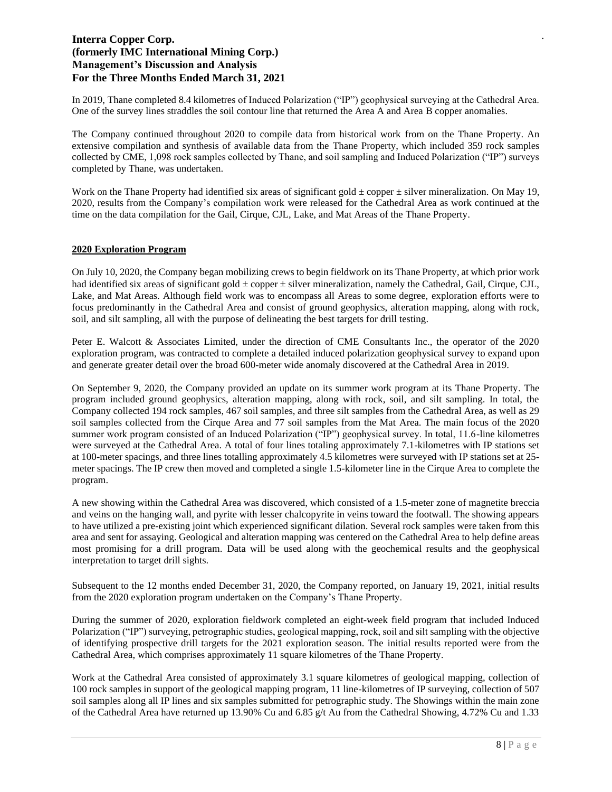In 2019, Thane completed 8.4 kilometres of Induced Polarization ("IP") geophysical surveying at the Cathedral Area. One of the survey lines straddles the soil contour line that returned the Area A and Area B copper anomalies.

The Company continued throughout 2020 to compile data from historical work from on the Thane Property. An extensive compilation and synthesis of available data from the Thane Property, which included 359 rock samples collected by CME, 1,098 rock samples collected by Thane, and soil sampling and Induced Polarization ("IP") surveys completed by Thane, was undertaken.

Work on the Thane Property had identified six areas of significant gold  $\pm$  copper  $\pm$  silver mineralization. On May 19, 2020, results from the Company's compilation work were released for the Cathedral Area as work continued at the time on the data compilation for the Gail, Cirque, CJL, Lake, and Mat Areas of the Thane Property.

## **2020 Exploration Program**

On July 10, 2020, the Company began mobilizing crews to begin fieldwork on its Thane Property, at which prior work had identified six areas of significant gold  $\pm$  copper  $\pm$  silver mineralization, namely the Cathedral, Gail, Cirque, CJL, Lake, and Mat Areas. Although field work was to encompass all Areas to some degree, exploration efforts were to focus predominantly in the Cathedral Area and consist of ground geophysics, alteration mapping, along with rock, soil, and silt sampling, all with the purpose of delineating the best targets for drill testing.

Peter E. Walcott & Associates Limited, under the direction of CME Consultants Inc., the operator of the 2020 exploration program, was contracted to complete a detailed induced polarization geophysical survey to expand upon and generate greater detail over the broad 600-meter wide anomaly discovered at the Cathedral Area in 2019.

On September 9, 2020, the Company provided an update on its summer work program at its Thane Property. The program included ground geophysics, alteration mapping, along with rock, soil, and silt sampling. In total, the Company collected 194 rock samples, 467 soil samples, and three silt samples from the Cathedral Area, as well as 29 soil samples collected from the Cirque Area and 77 soil samples from the Mat Area. The main focus of the 2020 summer work program consisted of an Induced Polarization ("IP") geophysical survey. In total, 11.6-line kilometres were surveyed at the Cathedral Area. A total of four lines totaling approximately 7.1-kilometres with IP stations set at 100-meter spacings, and three lines totalling approximately 4.5 kilometres were surveyed with IP stations set at 25 meter spacings. The IP crew then moved and completed a single 1.5-kilometer line in the Cirque Area to complete the program.

A new showing within the Cathedral Area was discovered, which consisted of a 1.5-meter zone of magnetite breccia and veins on the hanging wall, and pyrite with lesser chalcopyrite in veins toward the footwall. The showing appears to have utilized a pre-existing joint which experienced significant dilation. Several rock samples were taken from this area and sent for assaying. Geological and alteration mapping was centered on the Cathedral Area to help define areas most promising for a drill program. Data will be used along with the geochemical results and the geophysical interpretation to target drill sights.

Subsequent to the 12 months ended December 31, 2020, the Company reported, on January 19, 2021, initial results from the 2020 exploration program undertaken on the Company's Thane Property.

During the summer of 2020, exploration fieldwork completed an eight-week field program that included Induced Polarization ("IP") surveying, petrographic studies, geological mapping, rock, soil and silt sampling with the objective of identifying prospective drill targets for the 2021 exploration season. The initial results reported were from the Cathedral Area, which comprises approximately 11 square kilometres of the Thane Property.

Work at the Cathedral Area consisted of approximately 3.1 square kilometres of geological mapping, collection of 100 rock samples in support of the geological mapping program, 11 line-kilometres of IP surveying, collection of 507 soil samples along all IP lines and six samples submitted for petrographic study. The Showings within the main zone of the Cathedral Area have returned up 13.90% Cu and 6.85 g/t Au from the Cathedral Showing, 4.72% Cu and 1.33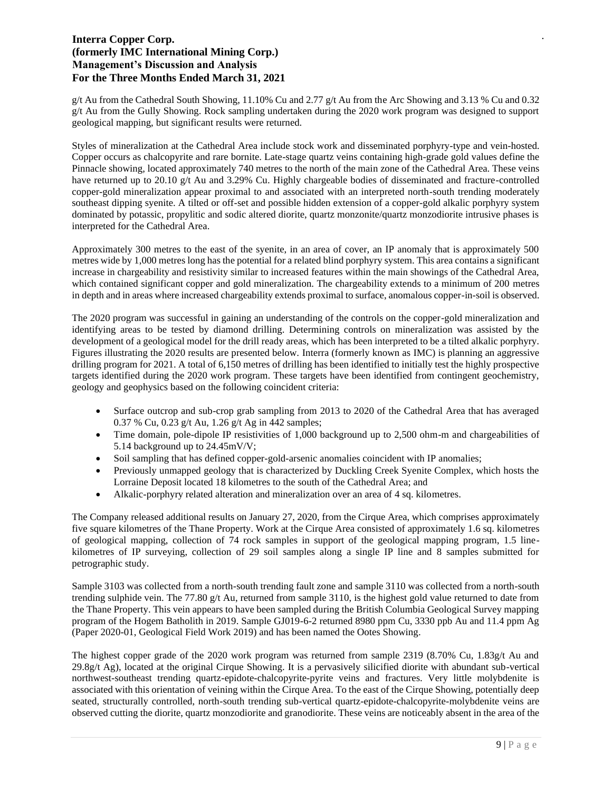g/t Au from the Cathedral South Showing, 11.10% Cu and 2.77 g/t Au from the Arc Showing and 3.13 % Cu and 0.32 g/t Au from the Gully Showing. Rock sampling undertaken during the 2020 work program was designed to support geological mapping, but significant results were returned.

Styles of mineralization at the Cathedral Area include stock work and disseminated porphyry-type and vein-hosted. Copper occurs as chalcopyrite and rare bornite. Late-stage quartz veins containing high-grade gold values define the Pinnacle showing, located approximately 740 metres to the north of the main zone of the Cathedral Area. These veins have returned up to 20.10 g/t Au and 3.29% Cu. Highly chargeable bodies of disseminated and fracture-controlled copper-gold mineralization appear proximal to and associated with an interpreted north-south trending moderately southeast dipping syenite. A tilted or off-set and possible hidden extension of a copper-gold alkalic porphyry system dominated by potassic, propylitic and sodic altered diorite, quartz monzonite/quartz monzodiorite intrusive phases is interpreted for the Cathedral Area.

Approximately 300 metres to the east of the syenite, in an area of cover, an IP anomaly that is approximately 500 metres wide by 1,000 metres long has the potential for a related blind porphyry system. This area contains a significant increase in chargeability and resistivity similar to increased features within the main showings of the Cathedral Area, which contained significant copper and gold mineralization. The chargeability extends to a minimum of 200 metres in depth and in areas where increased chargeability extends proximal to surface, anomalous copper-in-soil is observed.

The 2020 program was successful in gaining an understanding of the controls on the copper-gold mineralization and identifying areas to be tested by diamond drilling. Determining controls on mineralization was assisted by the development of a geological model for the drill ready areas, which has been interpreted to be a tilted alkalic porphyry. Figures illustrating the 2020 results are presented below. Interra (formerly known as IMC) is planning an aggressive drilling program for 2021. A total of 6,150 metres of drilling has been identified to initially test the highly prospective targets identified during the 2020 work program. These targets have been identified from contingent geochemistry, geology and geophysics based on the following coincident criteria:

- Surface outcrop and sub-crop grab sampling from 2013 to 2020 of the Cathedral Area that has averaged 0.37 % Cu, 0.23 g/t Au, 1.26 g/t Ag in 442 samples;
- Time domain, pole-dipole IP resistivities of 1,000 background up to 2,500 ohm-m and chargeabilities of 5.14 background up to 24.45mV/V;
- Soil sampling that has defined copper-gold-arsenic anomalies coincident with IP anomalies;
- Previously unmapped geology that is characterized by Duckling Creek Syenite Complex, which hosts the Lorraine Deposit located 18 kilometres to the south of the Cathedral Area; and
- Alkalic-porphyry related alteration and mineralization over an area of 4 sq. kilometres.

The Company released additional results on January 27, 2020, from the Cirque Area, which comprises approximately five square kilometres of the Thane Property. Work at the Cirque Area consisted of approximately 1.6 sq. kilometres of geological mapping, collection of 74 rock samples in support of the geological mapping program, 1.5 linekilometres of IP surveying, collection of 29 soil samples along a single IP line and 8 samples submitted for petrographic study.

Sample 3103 was collected from a north-south trending fault zone and sample 3110 was collected from a north-south trending sulphide vein. The 77.80 g/t Au, returned from sample 3110, is the highest gold value returned to date from the Thane Property. This vein appears to have been sampled during the British Columbia Geological Survey mapping program of the Hogem Batholith in 2019. Sample GJ019-6-2 returned 8980 ppm Cu, 3330 ppb Au and 11.4 ppm Ag (Paper 2020-01, Geological Field Work 2019) and has been named the Ootes Showing.

The highest copper grade of the 2020 work program was returned from sample 2319 (8.70% Cu, 1.83g/t Au and  $29.8g/t$  Ag), located at the original Cirque Showing. It is a pervasively silicified diorite with abundant sub-vertical northwest-southeast trending quartz-epidote-chalcopyrite-pyrite veins and fractures. Very little molybdenite is associated with this orientation of veining within the Cirque Area. To the east of the Cirque Showing, potentially deep seated, structurally controlled, north-south trending sub-vertical quartz-epidote-chalcopyrite-molybdenite veins are observed cutting the diorite, quartz monzodiorite and granodiorite. These veins are noticeably absent in the area of the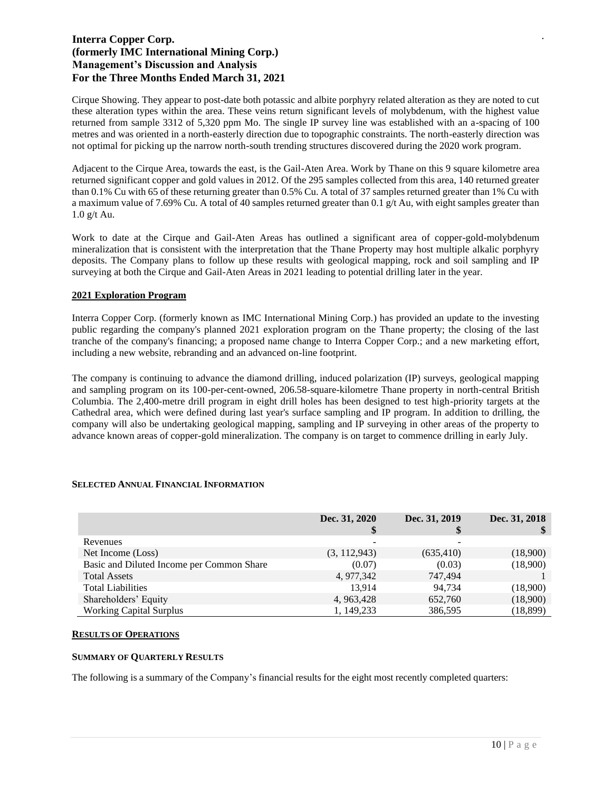Cirque Showing. They appear to post-date both potassic and albite porphyry related alteration as they are noted to cut these alteration types within the area. These veins return significant levels of molybdenum, with the highest value returned from sample 3312 of 5,320 ppm Mo. The single IP survey line was established with an a-spacing of 100 metres and was oriented in a north-easterly direction due to topographic constraints. The north-easterly direction was not optimal for picking up the narrow north-south trending structures discovered during the 2020 work program.

Adjacent to the Cirque Area, towards the east, is the Gail-Aten Area. Work by Thane on this 9 square kilometre area returned significant copper and gold values in 2012. Of the 295 samples collected from this area, 140 returned greater than 0.1% Cu with 65 of these returning greater than 0.5% Cu. A total of 37 samples returned greater than 1% Cu with a maximum value of 7.69% Cu. A total of 40 samples returned greater than 0.1 g/t Au, with eight samples greater than 1.0 g/t Au.

Work to date at the Cirque and Gail-Aten Areas has outlined a significant area of copper-gold-molybdenum mineralization that is consistent with the interpretation that the Thane Property may host multiple alkalic porphyry deposits. The Company plans to follow up these results with geological mapping, rock and soil sampling and IP surveying at both the Cirque and Gail-Aten Areas in 2021 leading to potential drilling later in the year.

### **2021 Exploration Program**

Interra Copper Corp. (formerly known as IMC International Mining Corp.) has provided an update to the investing public regarding the company's planned 2021 exploration program on the Thane property; the closing of the last tranche of the company's financing; a proposed name change to Interra Copper Corp.; and a new marketing effort, including a new website, rebranding and an advanced on-line footprint.

The company is continuing to advance the diamond drilling, induced polarization (IP) surveys, geological mapping and sampling program on its 100-per-cent-owned, 206.58-square-kilometre Thane property in north-central British Columbia. The 2,400-metre drill program in eight drill holes has been designed to test high-priority targets at the Cathedral area, which were defined during last year's surface sampling and IP program. In addition to drilling, the company will also be undertaking geological mapping, sampling and IP surveying in other areas of the property to advance known areas of copper-gold mineralization. The company is on target to commence drilling in early July.

|                                           | Dec. 31, 2020<br>S | Dec. 31, 2019<br>\$ | Dec. 31, 2018 |
|-------------------------------------------|--------------------|---------------------|---------------|
| Revenues                                  |                    |                     |               |
| Net Income (Loss)                         | (3, 112, 943)      | (635, 410)          | (18,900)      |
| Basic and Diluted Income per Common Share | (0.07)             | (0.03)              | (18,900)      |
| <b>Total Assets</b>                       | 4, 977, 342        | 747,494             |               |
| <b>Total Liabilities</b>                  | 13.914             | 94.734              | (18,900)      |
| Shareholders' Equity                      | 4, 963, 428        | 652,760             | (18,900)      |
| <b>Working Capital Surplus</b>            | 1, 149, 233        | 386,595             | (18,899)      |

## **SELECTED ANNUAL FINANCIAL INFORMATION**

#### **RESULTS OF OPERATIONS**

### **SUMMARY OF QUARTERLY RESULTS**

The following is a summary of the Company's financial results for the eight most recently completed quarters: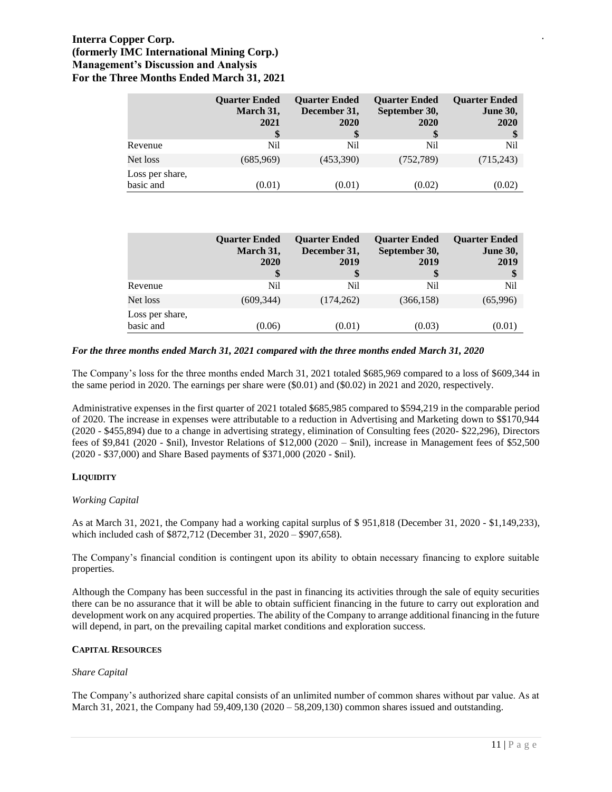diluted

|                              | <b>Ouarter Ended</b><br>March 31,<br>2021<br>\$ | <b>Ouarter Ended</b><br>December 31,<br>2020<br>\$ | <b>Ouarter Ended</b><br>September 30,<br>2020<br>S | <b>Quarter Ended</b><br><b>June 30,</b><br>2020 |
|------------------------------|-------------------------------------------------|----------------------------------------------------|----------------------------------------------------|-------------------------------------------------|
| Revenue                      | Nil                                             | N <sub>i</sub>                                     | Nil                                                | Nil                                             |
| Net loss                     | (685,969)                                       | (453,390)                                          | (752, 789)                                         | (715,243)                                       |
| Loss per share,<br>basic and | (0.01)                                          | (0.01)                                             | (0.02)                                             | (0.02)                                          |

|                              | <b>Quarter Ended</b><br>March 31,<br>2020<br>\$ | <b>Ouarter Ended</b><br>December 31,<br>2019<br>\$ | <b>Quarter Ended</b><br>September 30,<br>2019<br>\$ | <b>Quarter Ended</b><br><b>June 30,</b><br>2019<br>S |
|------------------------------|-------------------------------------------------|----------------------------------------------------|-----------------------------------------------------|------------------------------------------------------|
| Revenue                      | Nil.                                            | Nil                                                | Nil                                                 | Nil                                                  |
| Net loss                     | (609, 344)                                      | (174, 262)                                         | (366, 158)                                          | (65,996)                                             |
| Loss per share,<br>basic and | (0.06)                                          | (0.01)                                             | (0.03)                                              | (0.01)                                               |

#### *For the three months ended March 31, 2021 compared with the three months ended March 31, 2020*

The Company's loss for the three months ended March 31, 2021 totaled \$685,969 compared to a loss of \$609,344 in the same period in 2020. The earnings per share were (\$0.01) and (\$0.02) in 2021 and 2020, respectively.

Administrative expenses in the first quarter of 2021 totaled \$685,985 compared to \$594,219 in the comparable period of 2020. The increase in expenses were attributable to a reduction in Advertising and Marketing down to \$\$170,944 (2020 - \$455,894) due to a change in advertising strategy, elimination of Consulting fees (2020- \$22,296), Directors fees of \$9,841 (2020 - \$nil), Investor Relations of \$12,000 (2020 – \$nil), increase in Management fees of \$52,500 (2020 - \$37,000) and Share Based payments of \$371,000 (2020 - \$nil).

#### **LIQUIDITY**

#### *Working Capital*

As at March 31, 2021, the Company had a working capital surplus of \$ 951,818 (December 31, 2020 - \$1,149,233), which included cash of \$872,712 (December 31, 2020 – \$907,658).

The Company's financial condition is contingent upon its ability to obtain necessary financing to explore suitable properties.

Although the Company has been successful in the past in financing its activities through the sale of equity securities there can be no assurance that it will be able to obtain sufficient financing in the future to carry out exploration and development work on any acquired properties. The ability of the Company to arrange additional financing in the future will depend, in part, on the prevailing capital market conditions and exploration success.

### **CAPITAL RESOURCES**

#### *Share Capital*

The Company's authorized share capital consists of an unlimited number of common shares without par value. As at March 31, 2021, the Company had 59,409,130 (2020 – 58,209,130) common shares issued and outstanding.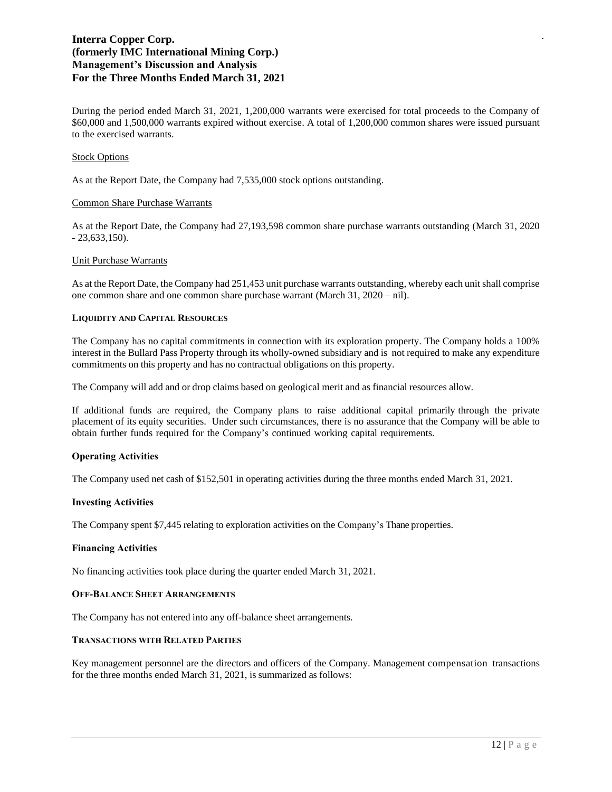During the period ended March 31, 2021, 1,200,000 warrants were exercised for total proceeds to the Company of \$60,000 and 1,500,000 warrants expired without exercise. A total of 1,200,000 common shares were issued pursuant to the exercised warrants.

#### Stock Options

As at the Report Date, the Company had 7,535,000 stock options outstanding.

#### Common Share Purchase Warrants

As at the Report Date, the Company had 27,193,598 common share purchase warrants outstanding (March 31, 2020 - 23,633,150).

#### Unit Purchase Warrants

As at the Report Date, the Company had 251,453 unit purchase warrants outstanding, whereby each unit shall comprise one common share and one common share purchase warrant (March 31, 2020 – nil).

### **LIQUIDITY AND CAPITAL RESOURCES**

The Company has no capital commitments in connection with its exploration property. The Company holds a 100% interest in the Bullard Pass Property through its wholly-owned subsidiary and is not required to make any expenditure commitments on this property and has no contractual obligations on this property.

The Company will add and or drop claims based on geological merit and as financial resources allow.

If additional funds are required, the Company plans to raise additional capital primarily through the private placement of its equity securities. Under such circumstances, there is no assurance that the Company will be able to obtain further funds required for the Company's continued working capital requirements.

## **Operating Activities**

The Company used net cash of \$152,501 in operating activities during the three months ended March 31, 2021.

#### **Investing Activities**

The Company spent \$7,445 relating to exploration activities on the Company's Thane properties.

#### **Financing Activities**

No financing activities took place during the quarter ended March 31, 2021.

## **OFF-BALANCE SHEET ARRANGEMENTS**

The Company has not entered into any off-balance sheet arrangements.

#### **TRANSACTIONS WITH RELATED PARTIES**

Key management personnel are the directors and officers of the Company. Management compensation transactions for the three months ended March 31, 2021, is summarized as follows: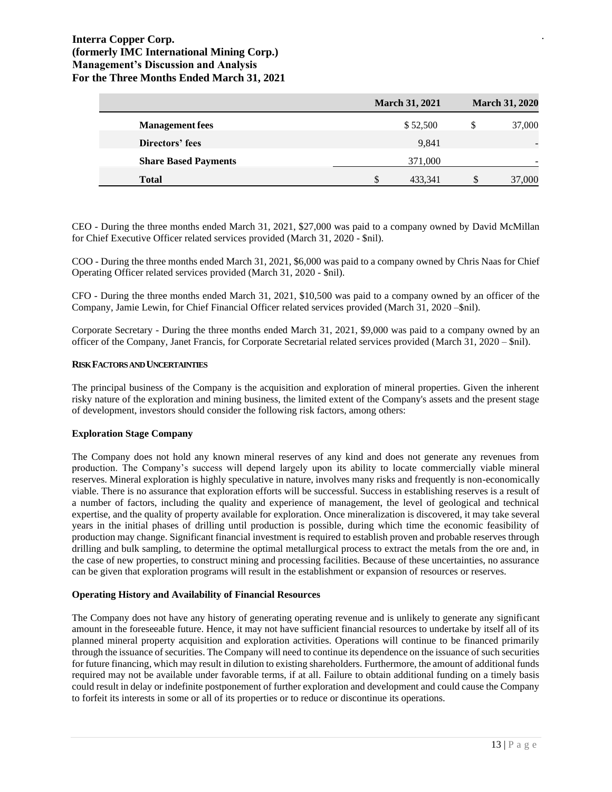|                             | <b>March 31, 2021</b> |    | <b>March 31, 2020</b> |
|-----------------------------|-----------------------|----|-----------------------|
| <b>Management</b> fees      | \$52,500              | S  | 37,000                |
| Directors' fees             | 9.841                 |    |                       |
| <b>Share Based Payments</b> | 371,000               |    | -                     |
| <b>Total</b>                | 433,341               | \$ | 37,000                |

CEO - During the three months ended March 31, 2021, \$27,000 was paid to a company owned by David McMillan for Chief Executive Officer related services provided (March 31, 2020 - \$nil).

COO - During the three months ended March 31, 2021, \$6,000 was paid to a company owned by Chris Naas for Chief Operating Officer related services provided (March 31, 2020 - \$nil).

CFO - During the three months ended March 31, 2021, \$10,500 was paid to a company owned by an officer of the Company, Jamie Lewin, for Chief Financial Officer related services provided (March 31, 2020 –\$nil).

Corporate Secretary - During the three months ended March 31, 2021, \$9,000 was paid to a company owned by an officer of the Company, Janet Francis, for Corporate Secretarial related services provided (March 31, 2020 – \$nil).

#### **RISK FACTORS AND UNCERTAINTIES**

The principal business of the Company is the acquisition and exploration of mineral properties. Given the inherent risky nature of the exploration and mining business, the limited extent of the Company's assets and the present stage of development, investors should consider the following risk factors, among others:

## **Exploration Stage Company**

The Company does not hold any known mineral reserves of any kind and does not generate any revenues from production. The Company's success will depend largely upon its ability to locate commercially viable mineral reserves. Mineral exploration is highly speculative in nature, involves many risks and frequently is non-economically viable. There is no assurance that exploration efforts will be successful. Success in establishing reserves is a result of a number of factors, including the quality and experience of management, the level of geological and technical expertise, and the quality of property available for exploration. Once mineralization is discovered, it may take several years in the initial phases of drilling until production is possible, during which time the economic feasibility of production may change. Significant financial investment is required to establish proven and probable reserves through drilling and bulk sampling, to determine the optimal metallurgical process to extract the metals from the ore and, in the case of new properties, to construct mining and processing facilities. Because of these uncertainties, no assurance can be given that exploration programs will result in the establishment or expansion of resources or reserves.

### **Operating History and Availability of Financial Resources**

The Company does not have any history of generating operating revenue and is unlikely to generate any significant amount in the foreseeable future. Hence, it may not have sufficient financial resources to undertake by itself all of its planned mineral property acquisition and exploration activities. Operations will continue to be financed primarily through the issuance of securities. The Company will need to continue its dependence on the issuance of such securities for future financing, which may result in dilution to existing shareholders. Furthermore, the amount of additional funds required may not be available under favorable terms, if at all. Failure to obtain additional funding on a timely basis could result in delay or indefinite postponement of further exploration and development and could cause the Company to forfeit its interests in some or all of its properties or to reduce or discontinue its operations.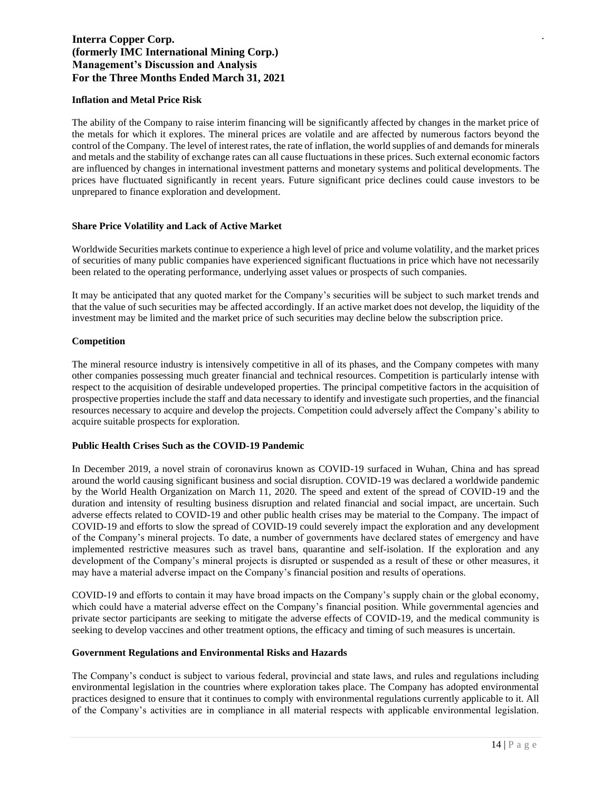## **Inflation and Metal Price Risk**

The ability of the Company to raise interim financing will be significantly affected by changes in the market price of the metals for which it explores. The mineral prices are volatile and are affected by numerous factors beyond the control of the Company. The level of interest rates, the rate of inflation, the world supplies of and demands for minerals and metals and the stability of exchange rates can all cause fluctuations in these prices. Such external economic factors are influenced by changes in international investment patterns and monetary systems and political developments. The prices have fluctuated significantly in recent years. Future significant price declines could cause investors to be unprepared to finance exploration and development.

### **Share Price Volatility and Lack of Active Market**

Worldwide Securities markets continue to experience a high level of price and volume volatility, and the market prices of securities of many public companies have experienced significant fluctuations in price which have not necessarily been related to the operating performance, underlying asset values or prospects of such companies.

It may be anticipated that any quoted market for the Company's securities will be subject to such market trends and that the value of such securities may be affected accordingly. If an active market does not develop, the liquidity of the investment may be limited and the market price of such securities may decline below the subscription price.

### **Competition**

The mineral resource industry is intensively competitive in all of its phases, and the Company competes with many other companies possessing much greater financial and technical resources. Competition is particularly intense with respect to the acquisition of desirable undeveloped properties. The principal competitive factors in the acquisition of prospective properties include the staff and data necessary to identify and investigate such properties, and the financial resources necessary to acquire and develop the projects. Competition could adversely affect the Company's ability to acquire suitable prospects for exploration.

## **Public Health Crises Such as the COVID-19 Pandemic**

In December 2019, a novel strain of coronavirus known as COVID-19 surfaced in Wuhan, China and has spread around the world causing significant business and social disruption. COVID-19 was declared a worldwide pandemic by the World Health Organization on March 11, 2020. The speed and extent of the spread of COVID-19 and the duration and intensity of resulting business disruption and related financial and social impact, are uncertain. Such adverse effects related to COVID-19 and other public health crises may be material to the Company. The impact of COVID-19 and efforts to slow the spread of COVID-19 could severely impact the exploration and any development of the Company's mineral projects. To date, a number of governments have declared states of emergency and have implemented restrictive measures such as travel bans, quarantine and self-isolation. If the exploration and any development of the Company's mineral projects is disrupted or suspended as a result of these or other measures, it may have a material adverse impact on the Company's financial position and results of operations.

COVID-19 and efforts to contain it may have broad impacts on the Company's supply chain or the global economy, which could have a material adverse effect on the Company's financial position. While governmental agencies and private sector participants are seeking to mitigate the adverse effects of COVID-19, and the medical community is seeking to develop vaccines and other treatment options, the efficacy and timing of such measures is uncertain.

#### **Government Regulations and Environmental Risks and Hazards**

The Company's conduct is subject to various federal, provincial and state laws, and rules and regulations including environmental legislation in the countries where exploration takes place. The Company has adopted environmental practices designed to ensure that it continues to comply with environmental regulations currently applicable to it. All of the Company's activities are in compliance in all material respects with applicable environmental legislation.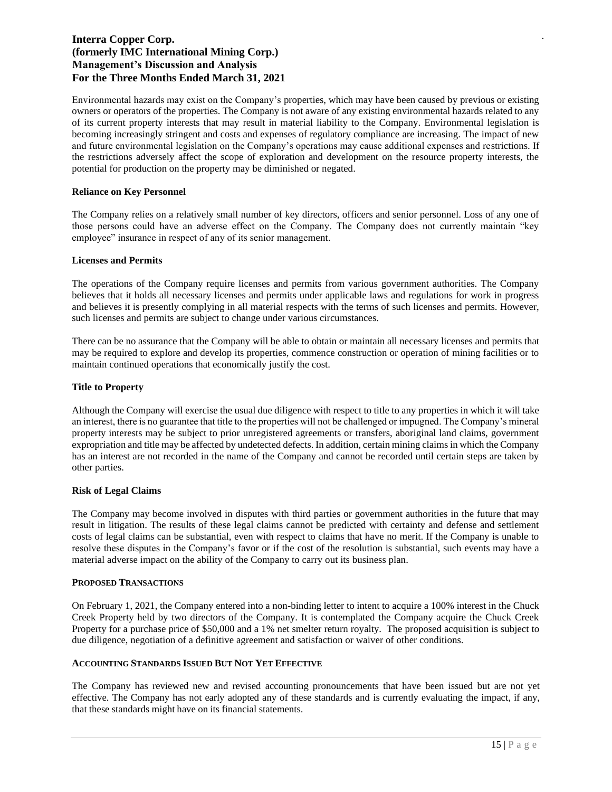Environmental hazards may exist on the Company's properties, which may have been caused by previous or existing owners or operators of the properties. The Company is not aware of any existing environmental hazards related to any of its current property interests that may result in material liability to the Company. Environmental legislation is becoming increasingly stringent and costs and expenses of regulatory compliance are increasing. The impact of new and future environmental legislation on the Company's operations may cause additional expenses and restrictions. If the restrictions adversely affect the scope of exploration and development on the resource property interests, the potential for production on the property may be diminished or negated.

### **Reliance on Key Personnel**

The Company relies on a relatively small number of key directors, officers and senior personnel. Loss of any one of those persons could have an adverse effect on the Company. The Company does not currently maintain "key employee" insurance in respect of any of its senior management.

### **Licenses and Permits**

The operations of the Company require licenses and permits from various government authorities. The Company believes that it holds all necessary licenses and permits under applicable laws and regulations for work in progress and believes it is presently complying in all material respects with the terms of such licenses and permits. However, such licenses and permits are subject to change under various circumstances.

There can be no assurance that the Company will be able to obtain or maintain all necessary licenses and permits that may be required to explore and develop its properties, commence construction or operation of mining facilities or to maintain continued operations that economically justify the cost.

### **Title to Property**

Although the Company will exercise the usual due diligence with respect to title to any properties in which it will take an interest, there is no guarantee that title to the properties will not be challenged or impugned. The Company's mineral property interests may be subject to prior unregistered agreements or transfers, aboriginal land claims, government expropriation and title may be affected by undetected defects. In addition, certain mining claims in which the Company has an interest are not recorded in the name of the Company and cannot be recorded until certain steps are taken by other parties.

#### **Risk of Legal Claims**

The Company may become involved in disputes with third parties or government authorities in the future that may result in litigation. The results of these legal claims cannot be predicted with certainty and defense and settlement costs of legal claims can be substantial, even with respect to claims that have no merit. If the Company is unable to resolve these disputes in the Company's favor or if the cost of the resolution is substantial, such events may have a material adverse impact on the ability of the Company to carry out its business plan.

## **PROPOSED TRANSACTIONS**

On February 1, 2021, the Company entered into a non-binding letter to intent to acquire a 100% interest in the Chuck Creek Property held by two directors of the Company. It is contemplated the Company acquire the Chuck Creek Property for a purchase price of \$50,000 and a 1% net smelter return royalty. The proposed acquisition is subject to due diligence, negotiation of a definitive agreement and satisfaction or waiver of other conditions.

## **ACCOUNTING STANDARDS ISSUED BUT NOT YET EFFECTIVE**

The Company has reviewed new and revised accounting pronouncements that have been issued but are not yet effective. The Company has not early adopted any of these standards and is currently evaluating the impact, if any, that these standards might have on its financial statements.